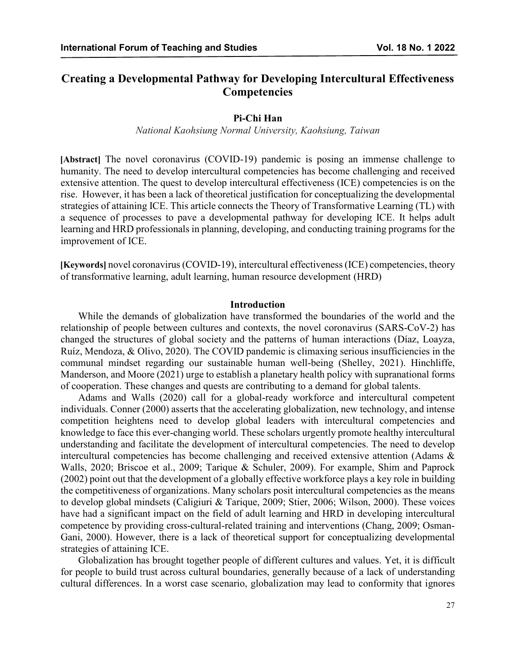# **Creating a Developmental Pathway for Developing Intercultural Effectiveness Competencies**

#### **Pi-Chi Han**

*National Kaohsiung Normal University, Kaohsiung, Taiwan*

**[Abstract]** The novel coronavirus (COVID-19) pandemic is posing an immense challenge to humanity. The need to develop intercultural competencies has become challenging and received extensive attention. The quest to develop intercultural effectiveness (ICE) competencies is on the rise. However, it has been a lack of theoretical justification for conceptualizing the developmental strategies of attaining ICE. This article connects the Theory of Transformative Learning (TL) with a sequence of processes to pave a developmental pathway for developing ICE. It helps adult learning and HRD professionals in planning, developing, and conducting training programs for the improvement of ICE.

**[Keywords]** novel coronavirus (COVID-19), intercultural effectiveness (ICE) competencies, theory of transformative learning, adult learning, human resource development (HRD)

#### **Introduction**

While the demands of globalization have transformed the boundaries of the world and the relationship of people between cultures and contexts, the novel coronavirus (SARS-CoV-2) has changed the structures of global society and the patterns of human interactions (Díaz, Loayza, Ruíz, Mendoza, & Olivo, 2020). The COVID pandemic is climaxing serious insufficiencies in the communal mindset regarding our sustainable human well-being (Shelley, 2021). Hinchliffe, Manderson, and Moore (2021) urge to establish a planetary health policy with supranational forms of cooperation. These changes and quests are contributing to a demand for global talents.

Adams and Walls (2020) call for a global-ready workforce and intercultural competent individuals. Conner (2000) asserts that the accelerating globalization, new technology, and intense competition heightens need to develop global leaders with intercultural competencies and knowledge to face this ever-changing world. These scholars urgently promote healthy intercultural understanding and facilitate the development of intercultural competencies. The need to develop intercultural competencies has become challenging and received extensive attention (Adams & Walls, 2020; Briscoe et al., 2009; Tarique & Schuler, 2009). For example, Shim and Paprock (2002) point out that the development of a globally effective workforce plays a key role in building the competitiveness of organizations. Many scholars posit intercultural competencies as the means to develop global mindsets (Caligiuri & Tarique, 2009; Stier, 2006; Wilson, 2000). These voices have had a significant impact on the field of adult learning and HRD in developing intercultural competence by providing cross-cultural-related training and interventions (Chang, 2009; Osman-Gani, 2000). However, there is a lack of theoretical support for conceptualizing developmental strategies of attaining ICE.

Globalization has brought together people of different cultures and values. Yet, it is difficult for people to build trust across cultural boundaries, generally because of a lack of understanding cultural differences. In a worst case scenario, globalization may lead to conformity that ignores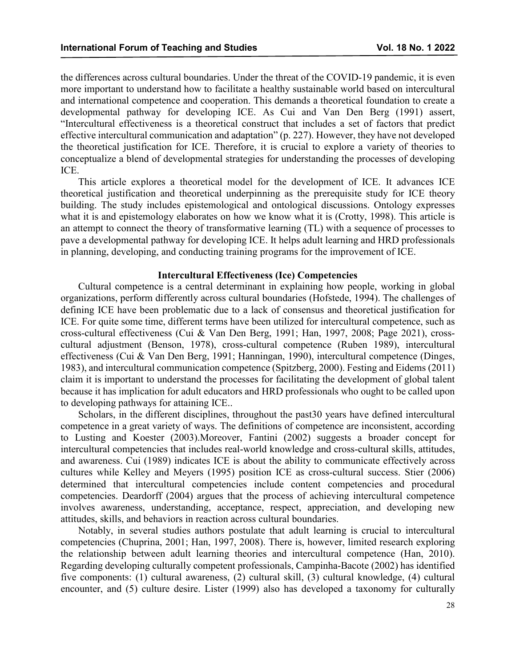the differences across cultural boundaries. Under the threat of the COVID-19 pandemic, it is even more important to understand how to facilitate a healthy sustainable world based on intercultural and international competence and cooperation. This demands a theoretical foundation to create a developmental pathway for developing ICE. As Cui and Van Den Berg (1991) assert, "Intercultural effectiveness is a theoretical construct that includes a set of factors that predict effective intercultural communication and adaptation" (p. 227). However, they have not developed the theoretical justification for ICE. Therefore, it is crucial to explore a variety of theories to conceptualize a blend of developmental strategies for understanding the processes of developing ICE.

This article explores a theoretical model for the development of ICE. It advances ICE theoretical justification and theoretical underpinning as the prerequisite study for ICE theory building. The study includes epistemological and ontological discussions. Ontology expresses what it is and epistemology elaborates on how we know what it is (Crotty, 1998). This article is an attempt to connect the theory of transformative learning (TL) with a sequence of processes to pave a developmental pathway for developing ICE. It helps adult learning and HRD professionals in planning, developing, and conducting training programs for the improvement of ICE.

### **Intercultural Effectiveness (Ice) Competencies**

Cultural competence is a central determinant in explaining how people, working in global organizations, perform differently across cultural boundaries (Hofstede, 1994). The challenges of defining ICE have been problematic due to a lack of consensus and theoretical justification for ICE. For quite some time, different terms have been utilized for intercultural competence, such as cross-cultural effectiveness (Cui & Van Den Berg, 1991; Han, 1997, 2008; Page 2021), crosscultural adjustment (Benson, 1978), cross-cultural competence (Ruben 1989), intercultural effectiveness (Cui & Van Den Berg, 1991; Hanningan, 1990), intercultural competence (Dinges, 1983), and intercultural communication competence (Spitzberg, 2000). Festing and Eidems (2011) claim it is important to understand the processes for facilitating the development of global talent because it has implication for adult educators and HRD professionals who ought to be called upon to developing pathways for attaining ICE..

Scholars, in the different disciplines, throughout the past30 years have defined intercultural competence in a great variety of ways. The definitions of competence are inconsistent, according to Lusting and Koester (2003).Moreover, Fantini (2002) suggests a broader concept for intercultural competencies that includes real-world knowledge and cross-cultural skills, attitudes, and awareness. Cui (1989) indicates ICE is about the ability to communicate effectively across cultures while Kelley and Meyers (1995) position ICE as cross-cultural success. Stier (2006) determined that intercultural competencies include content competencies and procedural competencies. Deardorff (2004) argues that the process of achieving intercultural competence involves awareness, understanding, acceptance, respect, appreciation, and developing new attitudes, skills, and behaviors in reaction across cultural boundaries.

Notably, in several studies authors postulate that adult learning is crucial to intercultural competencies (Chuprina, 2001; Han, 1997, 2008). There is, however, limited research exploring the relationship between adult learning theories and intercultural competence (Han, 2010). Regarding developing culturally competent professionals, Campinha-Bacote (2002) has identified five components: (1) cultural awareness, (2) cultural skill, (3) cultural knowledge, (4) cultural encounter, and (5) culture desire. Lister (1999) also has developed a taxonomy for culturally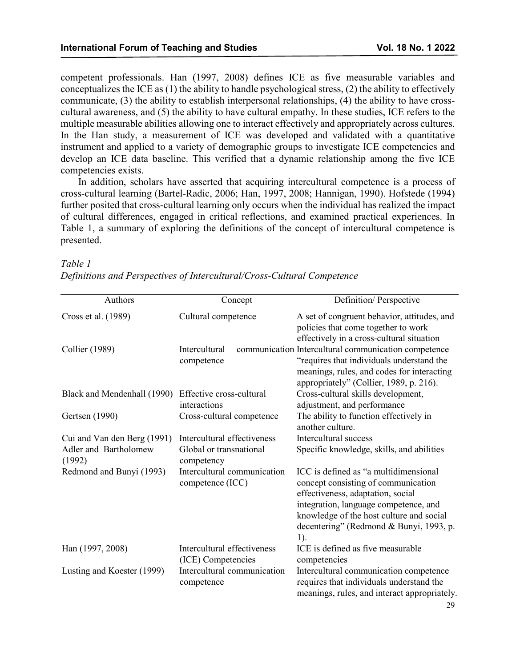Specific knowledge, skills, and abilities

ICC is defined as "a multidimensional concept consisting of communication

competent professionals. Han (1997, 2008) defines ICE as five measurable variables and conceptualizes the ICE as (1) the ability to handle psychological stress, (2) the ability to effectively communicate, (3) the ability to establish interpersonal relationships, (4) the ability to have crosscultural awareness, and (5) the ability to have cultural empathy. In these studies, ICE refers to the multiple measurable abilities allowing one to interact effectively and appropriately across cultures. In the Han study, a measurement of ICE was developed and validated with a quantitative instrument and applied to a variety of demographic groups to investigate ICE competencies and develop an ICE data baseline. This verified that a dynamic relationship among the five ICE competencies exists.

In addition, scholars have asserted that acquiring intercultural competence is a process of cross-cultural learning (Bartel-Radic, 2006; Han, 1997, 2008; Hannigan, 1990). Hofstede (1994) further posited that cross-cultural learning only occurs when the individual has realized the impact of cultural differences, engaged in critical reflections, and examined practical experiences. In Table 1, a summary of exploring the definitions of the concept of intercultural competence is presented.

### Authors Concept Definition/ Perspective Cross et al. (1989) Cultural competence A set of congruent behavior, attitudes, and policies that come together to work effectively in a cross-cultural situation Collier (1989) Intercultural communication Intercultural communication competence competence "requires that individuals understand the meanings, rules, and codes for interacting appropriately" (Collier, 1989, p. 216). Black and Mendenhall (1990) Effective cross-cultural interactions Cross-cultural skills development, adjustment, and performance Gertsen (1990) Cross-cultural competence The ability to function effectively in another culture.

Cui and Van den Berg (1991) Intercultural effectiveness Intercultural success

competence (ICC)

competency

Redmond and Bunyi (1993) Intercultural communication

Global or transnational

#### *Table 1*

Adler and Bartholomew

(1992)

*Definitions and Perspectives of Intercultural/Cross-Cultural Competence*

|                            |                             | effectiveness, adaptation, social            |
|----------------------------|-----------------------------|----------------------------------------------|
|                            |                             | integration, language competence, and        |
|                            |                             | knowledge of the host culture and social     |
|                            |                             | decentering" (Redmond & Bunyi, 1993, p.      |
|                            |                             | 1).                                          |
| Han (1997, 2008)           | Intercultural effectiveness | ICE is defined as five measurable            |
|                            | (ICE) Competencies          | competencies                                 |
| Lusting and Koester (1999) | Intercultural communication | Intercultural communication competence       |
|                            | competence                  | requires that individuals understand the     |
|                            |                             | meanings, rules, and interact appropriately. |
|                            |                             | 29                                           |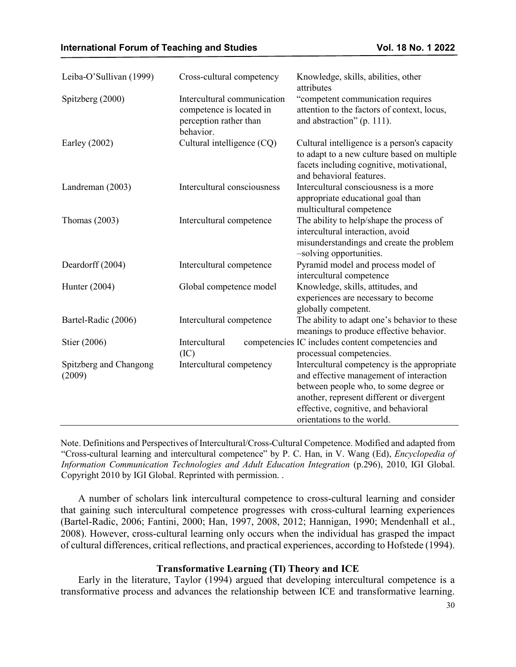| Leiba-O'Sullivan (1999)          | Cross-cultural competency                                                                      | Knowledge, skills, abilities, other<br>attributes                                                                                                                                                                                                  |
|----------------------------------|------------------------------------------------------------------------------------------------|----------------------------------------------------------------------------------------------------------------------------------------------------------------------------------------------------------------------------------------------------|
| Spitzberg (2000)                 | Intercultural communication<br>competence is located in<br>perception rather than<br>behavior. | "competent communication requires<br>attention to the factors of context, locus,<br>and abstraction" (p. 111).                                                                                                                                     |
| Earley (2002)                    | Cultural intelligence (CQ)                                                                     | Cultural intelligence is a person's capacity<br>to adapt to a new culture based on multiple<br>facets including cognitive, motivational,<br>and behavioral features.                                                                               |
| Landreman (2003)                 | Intercultural consciousness                                                                    | Intercultural consciousness is a more<br>appropriate educational goal than<br>multicultural competence                                                                                                                                             |
| Thomas $(2003)$                  | Intercultural competence                                                                       | The ability to help/shape the process of<br>intercultural interaction, avoid<br>misunderstandings and create the problem<br>-solving opportunities.                                                                                                |
| Deardorff (2004)                 | Intercultural competence                                                                       | Pyramid model and process model of<br>intercultural competence                                                                                                                                                                                     |
| Hunter (2004)                    | Global competence model                                                                        | Knowledge, skills, attitudes, and<br>experiences are necessary to become<br>globally competent.                                                                                                                                                    |
| Bartel-Radic (2006)              | Intercultural competence                                                                       | The ability to adapt one's behavior to these<br>meanings to produce effective behavior.                                                                                                                                                            |
| Stier (2006)                     | Intercultural<br>(IC)                                                                          | competencies IC includes content competencies and<br>processual competencies.                                                                                                                                                                      |
| Spitzberg and Changong<br>(2009) | Intercultural competency                                                                       | Intercultural competency is the appropriate<br>and effective management of interaction<br>between people who, to some degree or<br>another, represent different or divergent<br>effective, cognitive, and behavioral<br>orientations to the world. |

Note. Definitions and Perspectives of Intercultural/Cross-Cultural Competence. Modified and adapted from "Cross-cultural learning and intercultural competence" by P. C. Han, in V. Wang (Ed), *Encyclopedia of Information Communication Technologies and Adult Education Integration* (p.296), 2010, IGI Global. Copyright 2010 by IGI Global. Reprinted with permission. .

A number of scholars link intercultural competence to cross-cultural learning and consider that gaining such intercultural competence progresses with cross-cultural learning experiences (Bartel-Radic, 2006; Fantini, 2000; Han, 1997, 2008, 2012; Hannigan, 1990; Mendenhall et al., 2008). However, cross-cultural learning only occurs when the individual has grasped the impact of cultural differences, critical reflections, and practical experiences, according to Hofstede (1994).

## **Transformative Learning (Tl) Theory and ICE**

Early in the literature, Taylor (1994) argued that developing intercultural competence is a transformative process and advances the relationship between ICE and transformative learning.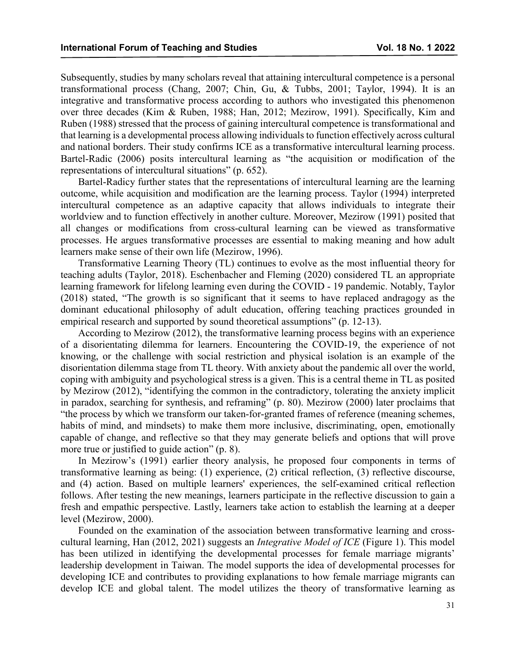Subsequently, studies by many scholars reveal that attaining intercultural competence is a personal transformational process (Chang, 2007; Chin, Gu, & Tubbs, 2001; Taylor, 1994). It is an integrative and transformative process according to authors who investigated this phenomenon over three decades (Kim & Ruben, 1988; Han, 2012; Mezirow, 1991). Specifically, Kim and Ruben (1988) stressed that the process of gaining intercultural competence is transformational and that learning is a developmental process allowing individuals to function effectively across cultural and national borders. Their study confirms ICE as a transformative intercultural learning process. Bartel-Radic (2006) posits intercultural learning as "the acquisition or modification of the representations of intercultural situations" (p. 652).

Bartel-Radicy further states that the representations of intercultural learning are the learning outcome, while acquisition and modification are the learning process. Taylor (1994) interpreted intercultural competence as an adaptive capacity that allows individuals to integrate their worldview and to function effectively in another culture. Moreover, Mezirow (1991) posited that all changes or modifications from cross-cultural learning can be viewed as transformative processes. He argues transformative processes are essential to making meaning and how adult learners make sense of their own life (Mezirow, 1996).

Transformative Learning Theory (TL) continues to evolve as the most influential theory for teaching adults (Taylor, 2018). Eschenbacher and Fleming (2020) considered TL an appropriate learning framework for lifelong learning even during the COVID - 19 pandemic. Notably, Taylor (2018) stated, "The growth is so significant that it seems to have replaced andragogy as the dominant educational philosophy of adult education, offering teaching practices grounded in empirical research and supported by sound theoretical assumptions" (p. 12-13).

According to Mezirow (2012), the transformative learning process begins with an experience of a disorientating dilemma for learners. Encountering the COVID-19, the experience of not knowing, or the challenge with social restriction and physical isolation is an example of the disorientation dilemma stage from TL theory. With anxiety about the pandemic all over the world, coping with ambiguity and psychological stress is a given. This is a central theme in TL as posited by Mezirow (2012), "identifying the common in the contradictory, tolerating the anxiety implicit in paradox, searching for synthesis, and reframing" (p. 80). Mezirow (2000) later proclaims that "the process by which we transform our taken-for-granted frames of reference (meaning schemes, habits of mind, and mindsets) to make them more inclusive, discriminating, open, emotionally capable of change, and reflective so that they may generate beliefs and options that will prove more true or justified to guide action" (p. 8).

In Mezirow's (1991) earlier theory analysis, he proposed four components in terms of transformative learning as being: (1) experience, (2) critical reflection, (3) reflective discourse, and (4) action. Based on multiple learners' experiences, the self-examined critical reflection follows. After testing the new meanings, learners participate in the reflective discussion to gain a fresh and empathic perspective. Lastly, learners take action to establish the learning at a deeper level (Mezirow, 2000).

Founded on the examination of the association between transformative learning and crosscultural learning, Han (2012, 2021) suggests an *Integrative Model of ICE* (Figure 1). This model has been utilized in identifying the developmental processes for female marriage migrants' leadership development in Taiwan. The model supports the idea of developmental processes for developing ICE and contributes to providing explanations to how female marriage migrants can develop ICE and global talent. The model utilizes the theory of transformative learning as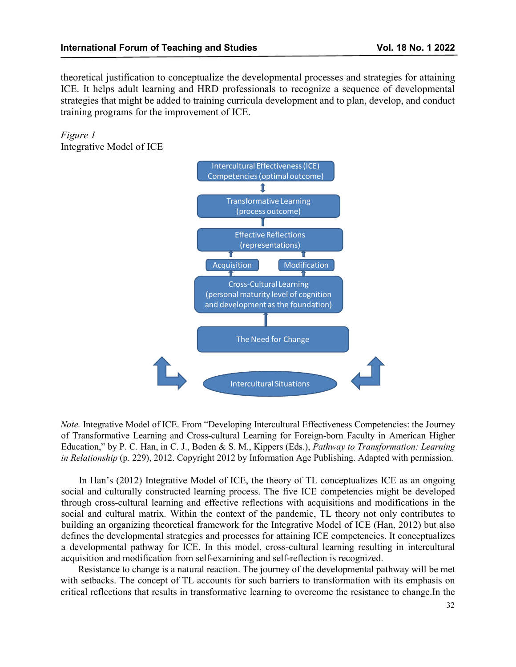theoretical justification to conceptualize the developmental processes and strategies for attaining ICE. It helps adult learning and HRD professionals to recognize a sequence of developmental strategies that might be added to training curricula development and to plan, develop, and conduct training programs for the improvement of ICE.

*Figure 1* Integrative Model of ICE



*Note.* Integrative Model of ICE. From "Developing Intercultural Effectiveness Competencies: the Journey of Transformative Learning and Cross-cultural Learning for Foreign-born Faculty in American Higher Education," by P. C. Han, in C. J., Boden & S. M., Kippers (Eds.), *Pathway to Transformation: Learning in Relationship* (p. 229), 2012. Copyright 2012 by Information Age Publishing. Adapted with permission.

In Han's (2012) Integrative Model of ICE, the theory of TL conceptualizes ICE as an ongoing social and culturally constructed learning process. The five ICE competencies might be developed through cross-cultural learning and effective reflections with acquisitions and modifications in the social and cultural matrix. Within the context of the pandemic, TL theory not only contributes to building an organizing theoretical framework for the Integrative Model of ICE (Han, 2012) but also defines the developmental strategies and processes for attaining ICE competencies. It conceptualizes a developmental pathway for ICE. In this model, cross-cultural learning resulting in intercultural acquisition and modification from self-examining and self-reflection is recognized.

Resistance to change is a natural reaction. The journey of the developmental pathway will be met with setbacks. The concept of TL accounts for such barriers to transformation with its emphasis on critical reflections that results in transformative learning to overcome the resistance to change.In the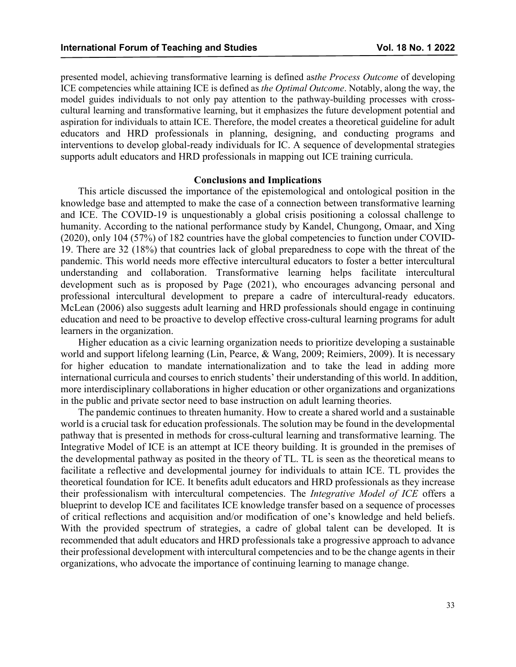presented model, achieving transformative learning is defined as*the Process Outcome* of developing ICE competencies while attaining ICE is defined as *the Optimal Outcome*. Notably, along the way, the model guides individuals to not only pay attention to the pathway-building processes with crosscultural learning and transformative learning, but it emphasizes the future development potential and aspiration for individuals to attain ICE. Therefore, the model creates a theoretical guideline for adult educators and HRD professionals in planning, designing, and conducting programs and interventions to develop global-ready individuals for IC. A sequence of developmental strategies supports adult educators and HRD professionals in mapping out ICE training curricula.

### **Conclusions and Implications**

This article discussed the importance of the epistemological and ontological position in the knowledge base and attempted to make the case of a connection between transformative learning and ICE. The COVID-19 is unquestionably a global crisis positioning a colossal challenge to humanity. According to the national performance study by Kandel, Chungong, Omaar, and Xing (2020), only 104 (57%) of 182 countries have the global competencies to function under COVID-19. There are 32 (18%) that countries lack of global preparedness to cope with the threat of the pandemic. This world needs more effective intercultural educators to foster a better intercultural understanding and collaboration. Transformative learning helps facilitate intercultural development such as is proposed by Page (2021), who encourages advancing personal and professional intercultural development to prepare a cadre of intercultural-ready educators. McLean (2006) also suggests adult learning and HRD professionals should engage in continuing education and need to be proactive to develop effective cross-cultural learning programs for adult learners in the organization.

Higher education as a civic learning organization needs to prioritize developing a sustainable world and support lifelong learning (Lin, Pearce, & Wang, 2009; Reimiers, 2009). It is necessary for higher education to mandate internationalization and to take the lead in adding more international curricula and courses to enrich students' their understanding of this world. In addition, more interdisciplinary collaborations in higher education or other organizations and organizations in the public and private sector need to base instruction on adult learning theories.

The pandemic continues to threaten humanity. How to create a shared world and a sustainable world is a crucial task for education professionals. The solution may be found in the developmental pathway that is presented in methods for cross-cultural learning and transformative learning. The Integrative Model of ICE is an attempt at ICE theory building. It is grounded in the premises of the developmental pathway as posited in the theory of TL. TL is seen as the theoretical means to facilitate a reflective and developmental journey for individuals to attain ICE. TL provides the theoretical foundation for ICE. It benefits adult educators and HRD professionals as they increase their professionalism with intercultural competencies. The *Integrative Model of ICE* offers a blueprint to develop ICE and facilitates ICE knowledge transfer based on a sequence of processes of critical reflections and acquisition and/or modification of one's knowledge and held beliefs. With the provided spectrum of strategies, a cadre of global talent can be developed. It is recommended that adult educators and HRD professionals take a progressive approach to advance their professional development with intercultural competencies and to be the change agents in their organizations, who advocate the importance of continuing learning to manage change.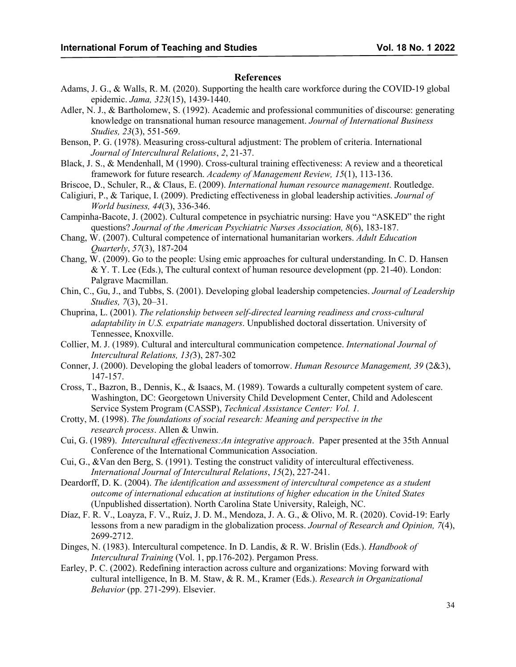#### **References**

- Adams, J. G., & Walls, R. M. (2020). Supporting the health care workforce during the COVID-19 global epidemic. *Jama, 323*(15), 1439-1440.
- Adler, N. J., & Bartholomew, S. (1992). Academic and professional communities of discourse: generating knowledge on transnational human resource management. *Journal of International Business Studies, 23*(3), 551-569.
- Benson, P. G. (1978). Measuring cross-cultural adjustment: The problem of criteria. International *Journal of Intercultural Relations*, *2*, 21-37.
- Black, J. S., & Mendenhall, M (1990). Cross-cultural training effectiveness: A review and a theoretical framework for future research. *Academy of Management Review, 15*(1), 113-136.
- Briscoe, D., Schuler, R., & Claus, E. (2009). *International human resource management*. Routledge.
- Caligiuri, P., & Tarique, I. (2009). Predicting effectiveness in global leadership activities. *Journal of World business, 44*(3), 336-346.
- Campinha-Bacote, J. (2002). Cultural competence in psychiatric nursing: Have you "ASKED" the right questions? *Journal of the American Psychiatric Nurses Association, 8*(6), 183-187.
- Chang, W. (2007). Cultural competence of international humanitarian workers. *Adult Education Quarterly*, *57*(3), 187-204
- Chang, W. (2009). Go to the people: Using emic approaches for cultural understanding. In C. D. Hansen  $&$  Y. T. Lee (Eds.), The cultural context of human resource development (pp. 21-40). London: Palgrave Macmillan.
- Chin, C., Gu, J., and Tubbs, S. (2001). Developing global leadership competencies. *Journal of Leadership Studies, 7*(3), 20–31.
- Chuprina, L. (2001). *The relationship between self-directed learning readiness and cross-cultural adaptability in U.S. expatriate managers*. Unpublished doctoral dissertation. University of Tennessee, Knoxville.
- Collier, M. J. (1989). Cultural and intercultural communication competence. *International Journal of Intercultural Relations, 13(*3), 287-302
- Conner, J. (2000). Developing the global leaders of tomorrow. *Human Resource Management, 39* (2&3), 147-157.
- Cross, T., Bazron, B., Dennis, K., & Isaacs, M. (1989). Towards a culturally competent system of care. Washington, DC: Georgetown University Child Development Center, Child and Adolescent Service System Program (CASSP), *Technical Assistance Center: Vol. 1.*
- Crotty, M. (1998). *The foundations of social research: Meaning and perspective in the research process*. Allen & Unwin.
- Cui, G. (1989). *Intercultural effectiveness:An integrative approach*. Paper presented at the 35th Annual Conference of the International Communication Association.
- Cui, G., &Van den Berg, S. (1991). Testing the construct validity of intercultural effectiveness. *International Journal of Intercultural Relations*, *15*(2), 227-241.
- Deardorff, D. K. (2004). *The identification and assessment of intercultural competence as a student outcome of international education at institutions of higher education in the United States*  (Unpublished dissertation). North Carolina State University, Raleigh, NC.
- Díaz, F. R. V., Loayza, F. V., Ruíz, J. D. M., Mendoza, J. A. G., & Olivo, M. R. (2020). Covid-19: Early lessons from a new paradigm in the globalization process. *Journal of Research and Opinion, 7*(4), 2699-2712.
- Dinges, N. (1983). Intercultural competence. In D. Landis, & R. W. Brislin (Eds.). *Handbook of Intercultural Training* (Vol. 1, pp.176-202). Pergamon Press.
- Earley, P. C. (2002). Redefining interaction across culture and organizations: Moving forward with cultural intelligence, In B. M. Staw, & R. M., Kramer (Eds.). *Research in Organizational Behavior* (pp. 271-299). Elsevier.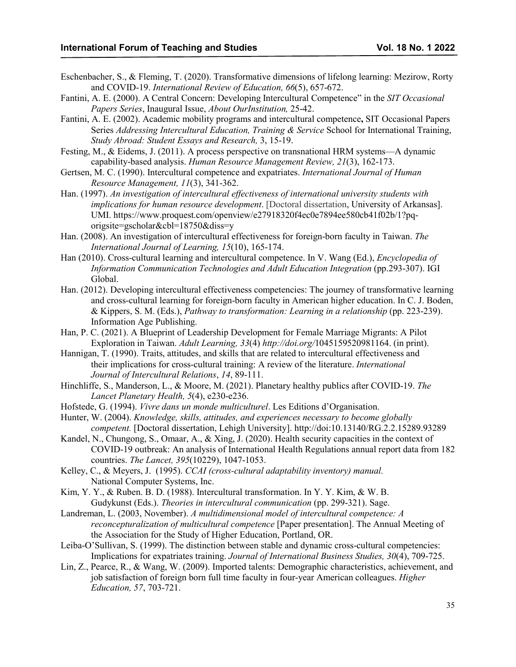- Eschenbacher, S., & Fleming, T. (2020). Transformative dimensions of lifelong learning: Mezirow, Rorty and COVID-19. *International Review of Education, 66*(5), 657-672.
- Fantini, A. E. (2000). A Central Concern: Developing Intercultural Competence" in the *SIT Occasional Papers Series*, Inaugural Issue, *About OurInstitution,* 25-42.
- Fantini, A. E. (2002). Academic mobility programs and intercultural competence**,** SIT Occasional Papers Series *Addressing Intercultural Education, Training & Service* School for International Training, *Study Abroad: Student Essays and Research,* 3, 15-19.
- Festing, M., & Eidems, J. (2011). A process perspective on transnational HRM systems—A dynamic capability-based analysis. *Human Resource Management Review, 21*(3), 162-173.
- Gertsen, M. C. (1990). Intercultural competence and expatriates. *International Journal of Human Resource Management, 11*(3), 341-362.
- Han. (1997). *An investigation of intercultural effectiveness of international university students with implications for human resource development*. [Doctoral dissertation, University of Arkansas]. UMI. https://www.proquest.com/openview/e27918320f4ec0e7894ee580cb41f02b/1?pqorigsite=gscholar&cbl=18750&diss=y
- Han. (2008). An investigation of intercultural effectiveness for foreign-born faculty in Taiwan. *The International Journal of Learning, 15*(10), 165-174.
- Han (2010). Cross-cultural learning and intercultural competence. In V. Wang (Ed.), *Encyclopedia of Information Communication Technologies and Adult Education Integration* (pp.293-307). IGI Global.
- Han. (2012). Developing intercultural effectiveness competencies: The journey of transformative learning and cross-cultural learning for foreign-born faculty in American higher education. In C. J. Boden, & Kippers, S. M. (Eds.), *Pathway to transformation: Learning in a relationship* (pp. 223-239). Information Age Publishing.
- Han, P. C. (2021). A Blueprint of Leadership Development for Female Marriage Migrants: A Pilot Exploration in Taiwan. *Adult Learning, 33*(4) *http://doi.org/*1045159520981164. (in print).
- Hannigan, T. (1990). Traits, attitudes, and skills that are related to intercultural effectiveness and their implications for cross-cultural training: A review of the literature. *International Journal of Intercultural Relations*, *14*, 89-111.
- Hinchliffe, S., Manderson, L., & Moore, M. (2021). Planetary healthy publics after COVID-19. *The Lancet Planetary Health, 5*(4), e230-e236.
- Hofstede, G. (1994). *Vivre dans un monde multiculturel*. Les Editions d'Organisation.
- Hunter, W. (2004). *Knowledge, skills, attitudes, and experiences necessary to become globally competent.* [Doctoral dissertation, Lehigh University]. http://doi:10.13140/RG.2.2.15289.93289
- Kandel, N., Chungong, S., Omaar, A., & Xing, J. (2020). Health security capacities in the context of COVID-19 outbreak: An analysis of International Health Regulations annual report data from 182 countries. *The Lancet, 395*(10229), 1047-1053.
- Kelley, C., & Meyers, J. (1995). *CCAI (cross-cultural adaptability inventory) manual.* National Computer Systems, Inc.
- Kim, Y. Y., & Ruben. B. D. (1988). Intercultural transformation. In Y. Y. Kim, & W. B. Gudykunst (Eds.). *Theories in intercultural communication* (pp. 299-321). Sage.
- Landreman, L. (2003, November). *A multidimensional model of intercultural competence: A reconcepturalization of multicultural competence* [Paper presentation]. The Annual Meeting of the Association for the Study of Higher Education, Portland, OR.
- Leiba-O'Sullivan, S. (1999). The distinction between stable and dynamic cross-cultural competencies: Implications for expatriates training. *Journal of International Business Studies, 30*(4), 709-725.
- Lin, Z., Pearce, R., & Wang, W. (2009). Imported talents: Demographic characteristics, achievement, and job satisfaction of foreign born full time faculty in four-year American colleagues. *Higher Education, 57*, 703-721.